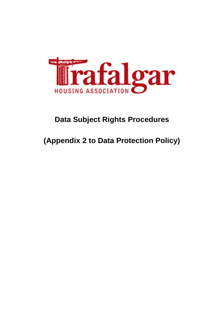

# **Data Subject Rights Procedures**

# **(Appendix 2 to Data Protection Policy)**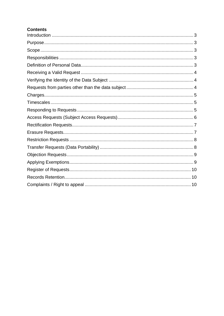# **Contents**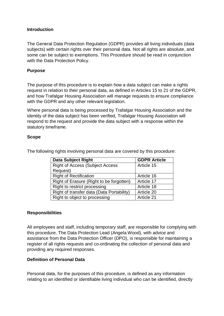#### <span id="page-2-0"></span>**Introduction**

The General Data Protection Regulation (GDPR) provides all living individuals (data subjects) with certain rights over their personal data. Not all rights are absolute, and some can be subject to exemptions. This Procedure should be read in conjunction with the Data Protection Policy.

#### <span id="page-2-1"></span>**Purpose**

The purpose of this procedure is to explain how a data subject can make a rights request in relation to their personal data, as defined in Articles 15 to 21 of the GDPR, and how Trafalgar Housing Association will manage requests to ensure compliance with the GDPR and any other relevant legislation.

Where personal data is being processed by Trafalgar Housing Association and the identity of the data subject has been verified, Trafalgar Housing Association will respond to the request and provide the data subject with a response within the statutory timeframe.

#### <span id="page-2-2"></span>**Scope**

| <b>Data Subject Right</b>                 | <b>GDPR Article</b> |
|-------------------------------------------|---------------------|
| <b>Right of Access (Subject Access</b>    | Article 15          |
| Request)                                  |                     |
| <b>Right of Rectification</b>             | Article 16          |
| Right of Erasure (Right to be forgotten)  | Article 17          |
| Right to restrict processing              | Article 18          |
| Right of transfer data (Data Portability) | Article 20          |
| Right to object to processing             | Article 21          |

The following rights involving personal data are covered by this procedure:

#### <span id="page-2-3"></span>**Responsibilities**

All employees and staff, including temporary staff, are responsible for complying with this procedure. The Data Protection Lead (Angela Wood), with advice and assistance from the Data Protection Officer (DPO), is responsible for maintaining a register of all rights requests and co-ordinating the collection of personal data and providing any required responses.

#### <span id="page-2-4"></span>**Definition of Personal Data**

Personal data, for the purposes of this procedure, is defined as any information relating to an identified or identifiable living individual who can be identified, directly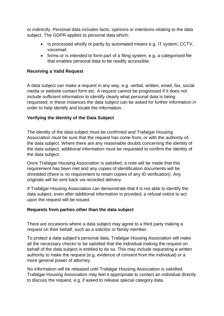or indirectly. Personal data includes facts, opinions or intentions relating to the data subject. The GDPR applies to personal data which:

- Is processed wholly or partly by automated means e.g. IT system, CCTV, voicemail.
- forms or is intended to form part of a filing system, e.g. a categorised file that enables personal data to be readily accessible.

## <span id="page-3-0"></span>**Receiving a Valid Request**

A data subject can make a request in any way, e.g. verbal, written, email, fax, social media or website contact form etc. A request cannot be progressed if it does not include sufficient information to identify clearly what personal data is being requested; in these instances the data subject can be asked for further information in order to help identify and locate the information.

#### <span id="page-3-1"></span>**Verifying the Identity of the Data Subject**

The identity of the data subject must be confirmed and Trafalgar Housing Association must be sure that the request has come from, or with the authority of, the data subject. Where there are any reasonable doubts concerning the identity of the data subject, additional information must be requested to confirm the identity of the data subject.

Once Trafalgar Housing Association is satisfied, a note will be made that this requirement has been met and any copies of identification documents will be shredded (there is no requirement to retain copies of any ID verification). Any originals will be sent back via recorded delivery.

If Trafalgar Housing Association can demonstrate that it is not able to identify the data subject, even after additional information is provided, a refusal notice to act upon the request will be issued.

#### <span id="page-3-2"></span>**Requests from parties other than the data subject**

There are occasions where a data subject may agree to a third party making a request on their behalf, such as a solicitor or family member.

To protect a data subject's personal data, Trafalgar Housing Association will make all the necessary checks to be satisfied that the individual making the request on behalf of the data subject is entitled to do so. This may include requesting a written authority to make the request (e.g. evidence of consent from the individual) or a more general power of attorney.

No information will be released until Trafalgar Housing Association is satisfied. Trafalgar Housing Association may feel it appropriate to contact an individual directly to discuss the request, e.g. if asked to release special category data.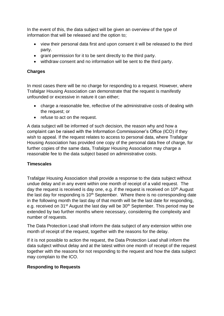In the event of this, the data subject will be given an overview of the type of information that will be released and the option to;

- view their personal data first and upon consent it will be released to the third party.
- grant permission for it to be sent directly to the third party.
- withdraw consent and no information will be sent to the third party.

# <span id="page-4-0"></span>**Charges**

In most cases there will be no charge for responding to a request. However, where Trafalgar Housing Association can demonstrate that the request is manifestly unfounded or excessive in nature it can either;

- charge a reasonable fee, reflective of the administrative costs of dealing with the request; or
- refuse to act on the request.

A data subject will be informed of such decision, the reason why and how a complaint can be raised with the Information Commissioner's Office (ICO) if they wish to appeal. If the request relates to access to personal data, where Trafalgar Housing Association has provided one copy of the personal data free of charge, for further copies of the same data, Trafalgar Housing Association may charge a reasonable fee to the data subject based on administrative costs.

# <span id="page-4-1"></span>**Timescales**

Trafalgar Housing Association shall provide a response to the data subject without undue delay and in any event within one month of receipt of a valid request. The day the request is received is day one, e.g. if the request is received on  $10<sup>th</sup>$  August the last day for responding is  $10<sup>th</sup>$  September. Where there is no corresponding date in the following month the last day of that month will be the last date for responding, e.g. received on  $31<sup>st</sup>$  August the last day will be  $30<sup>th</sup>$  September. This period may be extended by two further months where necessary, considering the complexity and number of requests.

The Data Protection Lead shall inform the data subject of any extension within one month of receipt of the request, together with the reasons for the delay.

If it is not possible to action the request, the Data Protection Lead shall inform the data subject without delay and at the latest within one month of receipt of the request together with the reasons for not responding to the request and how the data subject may complain to the ICO.

# <span id="page-4-2"></span>**Responding to Requests**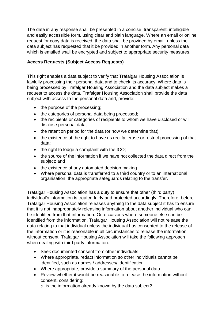The data in any response shall be presented in a concise, transparent, intelligible and easily accessible form, using clear and plain language. Where an email or online request for copy data is received, the data shall be provided by email, unless the data subject has requested that it be provided in another form. Any personal data which is emailed shall be encrypted and subject to appropriate security measures.

# <span id="page-5-0"></span>**Access Requests (Subject Access Requests)**

This right enables a data subject to verify that Trafalgar Housing Association is lawfully processing their personal data and to check its accuracy. Where data is being processed by Trafalgar Housing Association and the data subject makes a request to access the data, Trafalgar Housing Association shall provide the data subject with access to the personal data and, provide:

- the purpose of the processing;
- the categories of personal data being processed;
- the recipients or categories of recipients to whom we have disclosed or will disclose personal data;
- $\bullet$  the retention period for the data (or how we determine that);
- the existence of the right to have us rectify, erase or restrict processing of that data;
- $\bullet$  the right to lodge a complaint with the ICO;
- the source of the information if we have not collected the data direct from the subject; and
- the existence of any automated decision making.
- Where personal data is transferred to a third country or to an international organisation, the appropriate safeguards relating to the transfer.

Trafalgar Housing Association has a duty to ensure that other (third party) individual's information is treated fairly and protected accordingly. Therefore, before Trafalgar Housing Association releases anything to the data subject it has to ensure that it is not inappropriately releasing information about another individual who can be identified from that information. On occasions where someone else can be identified from the information, Trafalgar Housing Association will not release the data relating to that individual unless the individual has consented to the release of the information or it is reasonable in all circumstances to release the information without consent. Trafalgar Housing Association will take the following approach when dealing with third party information:

- Seek documented consent from other individuals.
- Where appropriate, redact information so other individuals cannot be identified, such as names / addresses/ identification.
- Where appropriate, provide a summary of the personal data.
- Review whether it would be reasonable to release the information without consent, considering:
	- $\circ$  is the information already known by the data subject?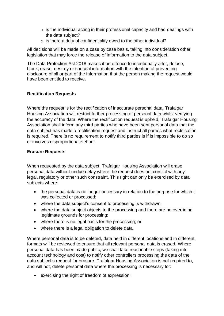- $\circ$  is the individual acting in their professional capacity and had dealings with the data subject?
- $\circ$  is there a duty of confidentiality owed to the other individual?

All decisions will be made on a case by case basis, taking into consideration other legislation that may force the release of information to the data subject.

The Data Protection Act 2018 makes it an offence to intentionally alter, deface, block, erase, destroy or conceal information with the intention of preventing disclosure of all or part of the information that the person making the request would have been entitled to receive.

## <span id="page-6-0"></span>**Rectification Requests**

Where the request is for the rectification of inaccurate personal data, Trafalgar Housing Association will restrict further processing of personal data whilst verifying the accuracy of the data. Where the rectification request is upheld, Trafalgar Housing Association shall inform any third parties who have been sent personal data that the data subject has made a rectification request and instruct all parties what rectification is required. There is no requirement to notify third parties is if is impossible to do so or involves disproportionate effort.

## <span id="page-6-1"></span>**Erasure Requests**

When requested by the data subject, Trafalgar Housing Association will erase personal data without undue delay where the request does not conflict with any legal, regulatory or other such constraint. This right can only be exercised by data subjects where:

- the personal data is no longer necessary in relation to the purpose for which it was collected or processed;
- where the data subject's consent to processing is withdrawn;
- where the data subject objects to the processing and there are no overriding legitimate grounds for processing;
- where there is no legal basis for the processing; or
- where there is a legal obligation to delete data.

Where personal data is to be deleted, data held in different locations and in different formats will be reviewed to ensure that all relevant personal data is erased. Where personal data has been made public, we shall take reasonable steps (taking into account technology and cost) to notify other controllers processing the data of the data subject's request for erasure. Trafalgar Housing Association is not required to, and will not, delete personal data where the processing is necessary for:

exercising the right of freedom of expression;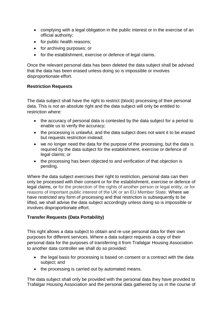- complying with a legal obligation in the public interest or in the exercise of an official authority;
- for public health reasons;
- for archiving purposes; or
- for the establishment, exercise or defence of legal claims.

Once the relevant personal data has been deleted the data subject shall be advised that the data has been erased unless doing so is impossible or involves disproportionate effort.

## <span id="page-7-0"></span>**Restriction Requests**

The data subject shall have the right to restrict (block) processing of their personal data. This is not an absolute right and the data subject will only be entitled to restriction where:

- the accuracy of personal data is contested by the data subject for a period to enable us to verify the accuracy;
- the processing is unlawful, and the data subject does not want it to be erased but requests restriction instead;
- we no longer need the data for the purpose of the processing, but the data is required by the data subject for the establishment, exercise or defence of legal claims; or
- the processing has been objected to and verification of that objection is pending.

Where the data subject exercises their right to restriction, personal data can then only be processed with their consent or for the establishment, exercise or defence of legal claims, or for the protection of the rights of another person or legal entity, or for reasons of important public interest of the UK or an EU Member State. Where we have restricted any form of processing and that restriction is subsequently to be lifted, we shall advise the data subject accordingly unless doing so is impossible or involves disproportionate effort.

## <span id="page-7-1"></span>**Transfer Requests (Data Portability)**

This right allows a data subject to obtain and re-use personal data for their own purposes for different services. Where a data subject requests a copy of their personal data for the purposes of transferring it from Trafalgar Housing Association to another data controller we shall do so provided:

- the legal basis for processing is based on consent or a contract with the data subject; and
- the processing is carried out by automated means.

The data subject shall only be provided with the personal data they have provided to Trafalgar Housing Association and the personal data gathered by us in the course of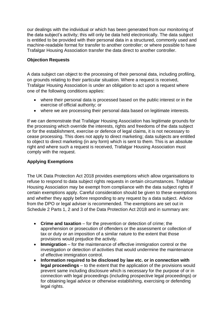our dealings with the individual or which has been generated from our monitoring of the data subject's activity; this will only be data held electronically. The data subject is entitled to be provided with their personal data in a structured, commonly used and machine-readable format for transfer to another controller; or where possible to have Trafalgar Housing Association transfer the data direct to another controller.

## <span id="page-8-0"></span>**Objection Requests**

A data subject can object to the processing of their personal data, including profiling, on grounds relating to their particular situation. Where a request is received, Trafalgar Housing Association is under an obligation to act upon a request where one of the following conditions applies:

- where their personal data is processed based on the public interest or in the exercise of official authority; or
- where we are processing their personal data based on legitimate interests.

If we can demonstrate that Trafalgar Housing Association has legitimate grounds for the processing which override the interests, rights and freedoms of the data subject or for the establishment, exercise or defence of legal claims, it is not necessary to cease processing. This does not apply to direct marketing; data subjects are entitled to object to direct marketing (in any form) which is sent to them. This is an absolute right and where such a request is received, Trafalgar Housing Association must comply with the request.

# <span id="page-8-1"></span>**Applying Exemptions**

The UK Data Protection Act 2018 provides exemptions which allow organisations to refuse to respond to data subject rights requests in certain circumstances. Trafalgar Housing Association may be exempt from compliance with the data subject rights if certain exemptions apply. Careful consideration should be given to these exemptions and whether they apply before responding to any request by a data subject. Advice from the DPO or legal adviser is recommended. The exemptions are set out in Schedule 2 Parts 1, 2 and 3 of the Data Protection Act 2018 and in summary are:

- **Crime and taxation** for the prevention or detection of crime; the apprehension or prosecution of offenders or the assessment or collection of tax or duty or an imposition of a similar nature to the extent that those provisions would prejudice the activity.
- **Immigration** for the maintenance of effective immigration control or the investigation or detection of activities that would undermine the maintenance of effective immigration control.
- **Information required to be disclosed by law etc. or in connection with legal proceedings** – to the extent that the application of the provisions would prevent same including disclosure which is necessary for the purpose of or in connection with legal proceedings (including prospective legal proceedings) or for obtaining legal advice or otherwise establishing, exercising or defending legal rights.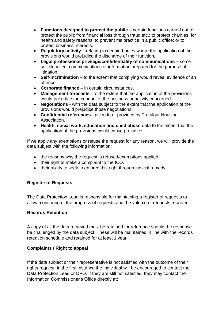- **Functions designed to protect the public** certain functions carried out to protect the public from financial loss through fraud etc.; to protect charities; for health and safety reasons; to prevent malpractice in a public office; or to protect business interests.
- **Regulatory activity**  relating to certain bodies where the application of the provisions would prejudice the discharge of their function.
- **Legal professional privilege/confidentiality of communications –** some solicitor/client communications or information prepared for the purpose of litigation.
- Self-incrimination to the extent that complying would reveal evidence of an offence.
- **Corporate finance**  in certain circumstances.
- **Management forecasts**  to the extent that the application of the provisions would prejudice the conduct of the business or activity concerned.
- **Negotiations**  with the data subject to the extent that the application of the provisions would prejudice those negotiations.
- **Confidential references**  given to or provided by Trafalgar Housing Association.
- **Health, social work, education and child abuse** data to the extent that the application of the provisions would cause prejudice.

If we apply any exemptions or refuse the request for any reason, we will provide the data subject with the following information:

- the reasons why the request is refused/exemptions applied.
- their right to make a complaint to the ICO.
- their ability to seek to enforce this right through judicial remedy.

## <span id="page-9-0"></span>**Register of Requests**

The Data Protection Lead is responsible for maintaining a register of requests to allow monitoring of the progress of requests and the volume of requests received.

## <span id="page-9-1"></span>**Records Retention**

A copy of all the data retrieved must be retained for reference should the response be challenged by the data subject. These will be maintained in line with the records retention schedule and retained for at least 1 year.

# <span id="page-9-2"></span>**Complaints / Right to appeal**

If the data subject or their representative is not satisfied with the outcome of their rights request, in the first instance the individual will be encouraged to contact the Data Protection Lead or DPO. If they are still not satisfied, they may contact the Information Commissioner's Office directly at: